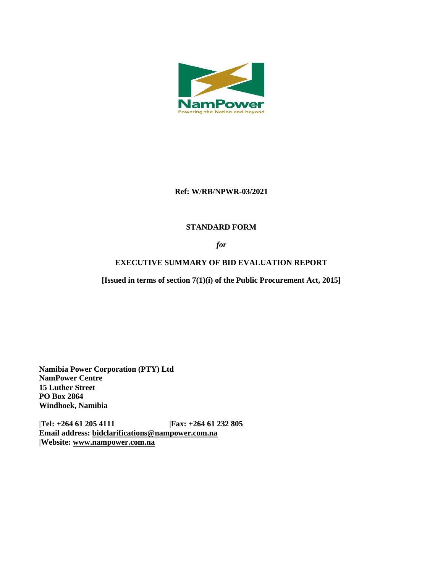

## **Ref: W/RB/NPWR-03/2021**

## **STANDARD FORM**

## *for*

# **EXECUTIVE SUMMARY OF BID EVALUATION REPORT**

**[Issued in terms of section 7(1)(i) of the Public Procurement Act, 2015]** 

**Namibia Power Corporation (PTY) Ltd NamPower Centre 15 Luther Street PO Box 2864 Windhoek, Namibia**

**|Tel: +264 61 205 4111 |Fax: +264 61 232 805 Email address: [bidclarifications@nampower.com.na](mailto:bidclarifications@nampower.com.na) |Website: [www.n](http://www./)ampower.com.na**